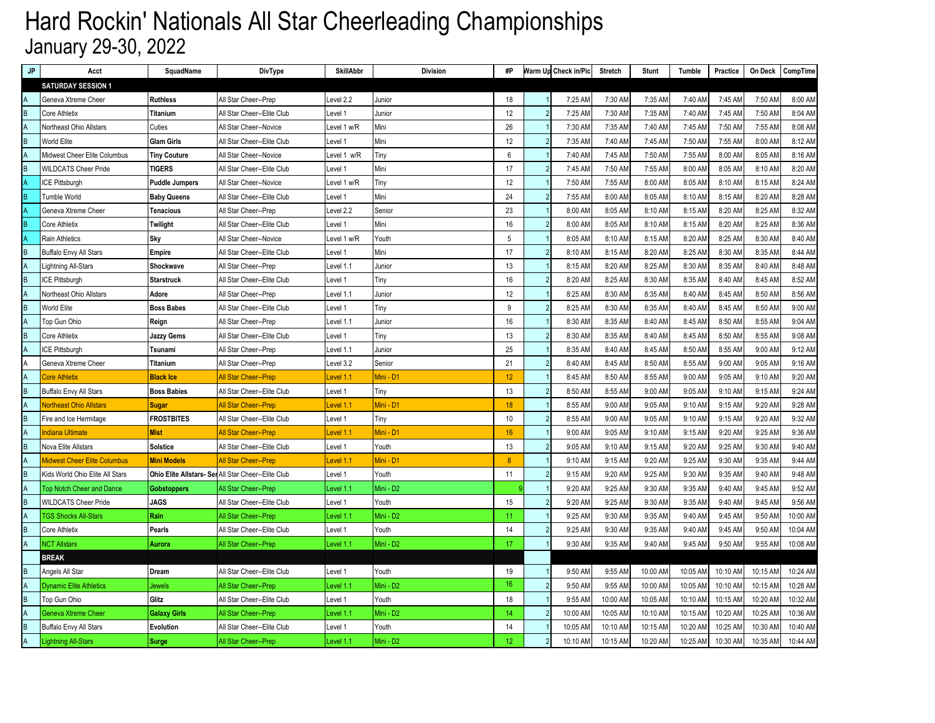# Hard Rockin' Nationals All Star Cheerleading Championships January 29-30, 2022

| JP                      | Acct                                | SquadName             | DivType                                             | <b>SkillAbbr</b> | <b>Division</b> | #P              |                | Warm Up Check in/Pic | Stretch  | <b>Stunt</b> | Tumble   | Practice |          | On Deck CompTime |
|-------------------------|-------------------------------------|-----------------------|-----------------------------------------------------|------------------|-----------------|-----------------|----------------|----------------------|----------|--------------|----------|----------|----------|------------------|
|                         | <b>SATURDAY SESSION 1</b>           |                       |                                                     |                  |                 |                 |                |                      |          |              |          |          |          |                  |
|                         | Geneva Xtreme Cheer                 | <b>Ruthless</b>       | All Star Cheer--Prep                                | evel 2.2         | Junior          | 18              |                | 7:25 AM              | 7:30 AM  | 7:35 AM      | 7:40 AM  | 7:45 AM  | 7:50 AM  | 8:00 AM          |
| B                       | Core Athletix                       | Titanium              | All Star Cheer--Elite Club                          | Level 1          | Junior          | 12              |                | 7:25 AM              | 7:30 AM  | 7:35 AM      | 7:40 AM  | 7:45 AM  | 7:50 AM  | 8:04 AM          |
|                         | Northeast Ohio Allstars             | Cuties                | All Star Cheer--Novice                              | evel 1 w/R       | Mini            | 26              |                | 7:30 AM              | 7:35 AM  | 7:40 AM      | 7:45 AM  | 7:50 AM  | 7:55 AM  | 8:08 AM          |
| $\overline{B}$          | World Elite                         | <b>Glam Girls</b>     | All Star Cheer--Elite Club                          | Level 1          | Mini            | 12              |                | 7:35 AM              | 7:40 AM  | 7:45 AM      | 7:50 AM  | 7:55 AM  | 8:00 AM  | 8:12 AM          |
|                         | Midwest Cheer Elite Columbus        | <b>Tiny Couture</b>   | All Star Cheer--Novice                              | Level 1 w/R      | Tiny            | 6               |                | 7:40 AM              | 7:45 AM  | 7:50 AM      | 7:55 AM  | 8:00 AM  | 8:05 AM  | 8:16 AM          |
| $\overline{B}$          | <b>WILDCATS Cheer Pride</b>         | <b>TIGERS</b>         | All Star Cheer--Elite Club                          | Level 1          | Mini            | 17              |                | 7:45 AM              | 7:50 AM  | 7:55 AM      | 8:00 AM  | 8:05 AM  | 8:10 AM  | 8:20 AM          |
|                         | ICE Pittsburgh                      | <b>Puddle Jumpers</b> | All Star Cheer--Novice                              | Level 1 w/R      | Tiny            | 12              |                | 7:50 AM              | 7:55 AM  | 8:00 AM      | 8:05 AM  | 8:10 AM  | 8:15 AM  | 8:24 AM          |
| B                       | <b>Tumble World</b>                 | <b>Baby Queens</b>    | All Star Cheer--Elite Club                          | Level 1          | Mini            | 24              |                | 7:55 AM              | 8:00 AM  | 8:05 AM      | 8:10 AM  | 8:15 AM  | 8:20 AM  | 8:28 AM          |
|                         | Geneva Xtreme Cheer                 | <b>Tenacious</b>      | All Star Cheer--Prep                                | Level 2.2        | Senior          | 23              |                | 8:00 AM              | 8:05 AM  | 8:10 AM      | 8:15 AM  | 8:20 AM  | 8:25 AM  | 8:32 AM          |
| $\overline{B}$          | Core Athletix                       | Twilight              | All Star Cheer--Elite Club                          | Level 1          | Mini            | 16              |                | 8:00 AM              | 8:05 AM  | 8:10 AM      | 8:15 AM  | 8:20 AM  | 8:25 AM  | 8:36 AM          |
| $\overline{\mathsf{A}}$ | <b>Rain Athletics</b>               | Sky                   | All Star Cheer--Novice                              | Level 1 w/R      | Youth           | 5               |                | 8:05 AM              | 8:10 AM  | 8:15 AM      | 8:20 AM  | 8:25 AM  | 8:30 AM  | 8:40 AM          |
| $\overline{\mathsf{B}}$ | <b>Buffalo Envy All Stars</b>       | <b>Empire</b>         | All Star Cheer--Elite Club                          | Level 1          | Mini            | 17              |                | 8:10 AM              | 8:15 AM  | 8:20 AM      | 8:25 AM  | 8:30 AM  | 8:35 AM  | 8:44 AM          |
|                         | Lightning All-Stars                 | Shockwave             | All Star Cheer--Prep                                | Level 1.1        | Junior          | 13              |                | 8:15 AM              | 8:20 AM  | 8:25 AM      | 8:30 AM  | 8:35 AM  | 8:40 AM  | 8:48 AM          |
| $\overline{B}$          | ICE Pittsburgh                      | <b>Starstruck</b>     | All Star Cheer--Elite Club                          | Level 1          | Tiny            | 16              | 2              | 8:20 AM              | 8:25 AM  | 8:30 AM      | 8:35 AM  | 8:40 AM  | 8:45 AM  | 8:52 AM          |
| A                       | Northeast Ohio Allstars             | Adore                 | All Star Cheer--Prep                                | Level 1.1        | Junior          | 12              |                | 8:25 AM              | 8:30 AM  | 8:35 AM      | 8:40 AM  | 8:45 AM  | 8:50 AM  | 8:56 AM          |
| $\overline{B}$          | World Elite                         | <b>Boss Babes</b>     | All Star Cheer--Elite Club                          | Level 1          | Tiny            | 9               |                | 8:25 AM              | 8:30 AM  | 8:35 AM      | 8:40 AM  | 8:45 AM  | 8:50 AM  | 9:00 AM          |
|                         | Top Gun Ohio                        | Reign                 | All Star Cheer--Prep                                | Level 1.1        | Junior          | 16              |                | 8:30 AM              | 8:35 AM  | 8:40 AM      | 8:45 AM  | 8:50 AM  | 8:55 AM  | 9:04 AM          |
| B                       | Core Athletix                       | <b>Jazzy Gems</b>     | All Star Cheer--Elite Club                          | Level 1          | Tiny            | 13              |                | 8:30 AM              | 8:35 AM  | 8:40 AM      | 8:45 AM  | 8:50 AM  | 8:55 AM  | 9:08 AM          |
| $\overline{A}$          | ICE Pittsburgh                      | Tsunami               | All Star Cheer--Prep                                | Level 1.1        | Junior          | 25              |                | 8:35 AM              | 8:40 AM  | 8:45 AM      | 8:50 AM  | 8:55 AM  | 9:00 AM  | 9:12 AM          |
| A                       | Geneva Xtreme Cheer                 | <b>Titanium</b>       | All Star Cheer--Prep                                | Level 3.2        | Senior          | 21              |                | 8:40 AM              | 8:45 AM  | 8:50 AM      | 8:55 AM  | 9:00 AM  | 9:05 AM  | 9:16 AM          |
| $\overline{\mathsf{A}}$ | <b>Core Athletix</b>                | <b>Black Ice</b>      | <u> All Star Cheer--Prep</u>                        | evel 1.1         | Mini - D1       | 12              |                | 8:45 AM              | 8:50 AM  | 8:55 AM      | 9:00 AM  | 9:05 AM  | 9:10 AM  | 9:20 AM          |
| B                       | <b>Buffalo Envy All Stars</b>       | <b>Boss Babies</b>    | All Star Cheer--Elite Club                          | Level 1          | Tiny            | 13              |                | 8:50 AM              | 8:55 AM  | 9:00 AM      | 9:05 AM  | 9:10 AM  | 9:15 AM  | 9:24 AM          |
|                         | <b>Northeast Ohio Allstars</b>      | <b>Sugar</b>          | <b>All Star Cheer--Prep</b>                         | Level 1.1        | Mini - D1       | 18              |                | 8:55 AM              | 9:00 AM  | 9:05 AM      | 9:10 AM  | 9:15 AM  | 9:20 AM  | 9:28 AM          |
| $\overline{B}$          | Fire and Ice Hermitage              | <b>FROSTBITES</b>     | All Star Cheer--Elite Club                          | Level 1          | Tiny            | 10              |                | 8:55 AM              | 9:00 AM  | 9:05 AM      | 9:10 AM  | 9:15 AM  | 9:20 AM  | 9:32 AM          |
| A                       | <b>Indiana Ultimate</b>             | <b>Mist</b>           | All Star Cheer--Prep                                | evel 1.1         | Mini - D1       | 16              |                | 9:00 AM              | 9:05 AM  | 9:10 AM      | 9:15 AM  | 9:20 AM  | 9:25 AM  | 9:36 AM          |
| B                       | Nova Elite Allstars                 | <b>Solstice</b>       | All Star Cheer--Elite Club                          | Level 1          | Youth           | 13              |                | 9:05 AM              | 9:10 AM  | 9:15 AM      | 9:20 AM  | 9:25 AM  | 9:30 AM  | 9:40 AM          |
| $\overline{\mathsf{A}}$ | <b>Midwest Cheer Elite Columbus</b> | <b>Mini Models</b>    | All Star Cheer--Prep                                | evel 1.1         | Mini - D1       | 8               |                | 9:10 AM              | 9:15 AM  | 9:20 AM      | 9:25 AM  | 9:30 AM  | 9:35 AM  | 9:44 AM          |
| $\overline{B}$          | Kids World Ohio Elite All Stars     |                       | Ohio Elite Allstars- Ser All Star Cheer--Elite Club | Level 1          | Youth           | 11              | $\overline{2}$ | 9:15 AM              | 9:20 AM  | 9:25 AM      | 9:30 AM  | 9:35 AM  | 9:40 AM  | 9:48 AM          |
| A                       | <b>Top Notch Cheer and Dance</b>    | <b>Gobstoppers</b>    | All Star Cheer--Prep                                | evel 1.1.        | Mini - D2       |                 |                | 9:20 AM              | 9:25 AM  | 9:30 AM      | 9:35 AM  | 9:40 AM  | 9:45 AM  | 9:52 AM          |
| $\overline{B}$          | <b>WILDCATS Cheer Pride</b>         | <b>JAGS</b>           | All Star Cheer--Elite Club                          | Level 1          | Youth           | 15              |                | 9:20 AM              | 9:25 AM  | 9:30 AM      | 9:35 AM  | 9:40 AM  | 9:45 AM  | 9:56 AM          |
|                         | <b>TGS Shocks All-Stars</b>         | Rain                  | All Star Cheer--Prep                                | evel 1.1.        | Mini - D2       | 11              |                | 9:25 AM              | 9:30 AM  | 9:35 AM      | 9:40 AM  | 9:45 AM  | 9:50 AM  | 10:00 AM         |
| $\overline{B}$          | Core Athletix                       | Pearls                | All Star Cheer--Elite Club                          | Level 1          | Youth           | 14              |                | 9:25 AM              | 9:30 AM  | 9:35 AM      | 9:40 AM  | 9:45 AM  | 9:50 AM  | 10:04 AM         |
| $\overline{A}$          | <b>NCT Allstars</b>                 | Aurora                | All Star Cheer--Prep                                | evel 1.1         | Mini - D2       | 17              |                | 9:30 AM              | 9:35 AM  | 9:40 AM      | 9:45 AM  | 9:50 AM  | 9:55 AM  | 10:08 AM         |
|                         | <b>BREAK</b>                        |                       |                                                     |                  |                 |                 |                |                      |          |              |          |          |          |                  |
| B                       | Angels All Star                     | Dream                 | All Star Cheer--Elite Club                          | Level 1          | Youth           | 19              |                | 9:50 AM              | 9:55 AM  | 10:00 AM     | 10:05 AM | 10:10 AM | 10:15 AM | 10:24 AM         |
| $\overline{\mathsf{A}}$ | <b>Dynamic Elite Athletics</b>      | Jewels                | <b>All Star Cheer--Prep</b>                         | evel 1.1.        | Mini - D2       | 16              |                | 9:50 AM              | 9:55 AM  | 10:00 AM     | 10:05 AM | 10:10 AM | 10:15 AM | 10:28 AM         |
| $\overline{B}$          | Top Gun Ohio                        | Glitz                 | All Star Cheer--Elite Club                          | Level 1          | Youth           | 18              |                | 9:55 AM              | 10:00 AM | 10:05 AM     | 10:10 AM | 10:15 AM | 10:20 AM | 10:32 AM         |
| $\overline{A}$          | <b>Geneva Xtreme Cheer</b>          | <b>Galaxy Girls</b>   | All Star Cheer--Prep                                | evel 1.1.        | Mini - D2       | 14              |                | 10:00 AM             | 10:05 AM | 10:10 AM     | 10:15 AM | 10:20 AM | 10:25 AM | 10:36 AM         |
| B                       | <b>Buffalo Envy All Stars</b>       | <b>Evolution</b>      | All Star Cheer--Elite Club                          | Level 1          | Youth           | 14              |                | 10:05 AM             | 10:10 AM | 10:15 AM     | 10:20 AM | 10:25 AM | 10:30 AM | 10:40 AM         |
| A                       | <b>Lightning All-Stars</b>          | Surge                 | All Star Cheer--Prep                                | evel 1.1         | Mini - D2       | 12 <sup>°</sup> |                | 10:10 AM             | 10:15 AM | 10:20 AM     | 10:25 AM | 10:30 AM | 10:35 AM | 10:44 AM         |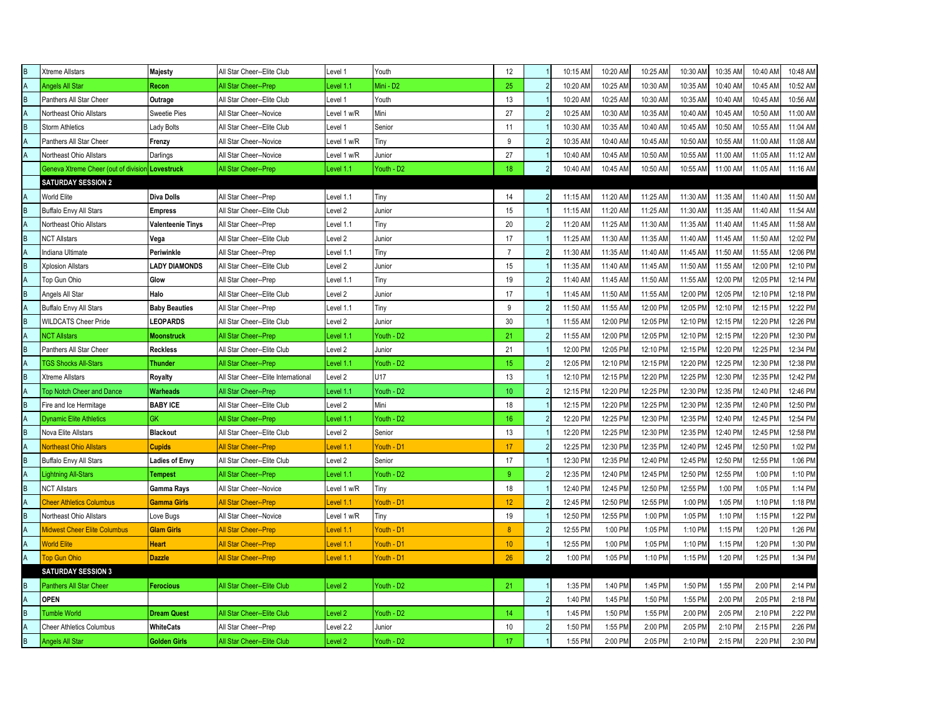| R.             | Xtreme Allstars                                 | Majesty               | All Star Cheer--Elite Club          | Level 1            | Youth      | 12              |                | 10:15 AM | 10:20 AM | 10:25 AM | 10:30 AM | 10:35 AM | 10:40 AM | 10:48 AM |
|----------------|-------------------------------------------------|-----------------------|-------------------------------------|--------------------|------------|-----------------|----------------|----------|----------|----------|----------|----------|----------|----------|
|                | <b>Angels All Star</b>                          | Recon                 | All Star Cheer--Prep                | Level 1.1          | Mini - D2  | 25              |                | 10:20 AM | 10:25 AM | 10:30 AM | 10:35 AM | 10:40 AM | 10:45 AM | 10:52 AM |
| R              | Panthers All Star Cheer                         | Outrage               | All Star Cheer--Elite Club          | Level '            | Youth      | 13              |                | 10:20 AM | 10:25 AM | 10:30 AM | 10:35 AM | 10:40 AM | 10:45 AM | 10:56 AM |
| А              | Northeast Ohio Allstars                         | Sweetie Pies          | All Star Cheer--Novice              | Level 1 w/R        | Mini       | 27              |                | 10:25 AM | 10:30 AM | 10:35 AM | 10:40 AM | 10:45 AM | 10:50 AM | 11:00 AM |
| B              | <b>Storm Athletics</b>                          | Lady Bolts            | All Star Cheer--Elite Club          | Level 1            | Senior     | 11              |                | 10:30 AM | 10:35 AM | 10:40 AM | 10:45 AM | 10:50 AM | 10:55 AM | 11:04 AM |
|                | Panthers All Star Cheer                         | Frenzy                | All Star Cheer--Novice              | Level 1 w/R        | Tiny       | 9               |                | 10:35 AM | 10:40 AM | 10:45 AM | 10:50 AM | 10:55 AM | 11:00 AM | 11:08 AM |
|                | Northeast Ohio Allstars                         | Darlings              | All Star Cheer--Novice              | Level 1 w/R        | Junior     | 27              |                | 10:40 AM | 10:45 AM | 10:50 AM | 10:55 AM | 11:00 AM | 11:05 AM | 11:12 AM |
|                | Geneva Xtreme Cheer (out of division Lovestruck |                       | All Star Cheer--Prep                | Level 1.1          | Youth - D2 | 18              | $\overline{2}$ | 10:40 AM | 10:45 AM | 10:50 AM | 10:55 AM | 11:00 AM | 11:05 AM | 11:16 AM |
|                | <b>SATURDAY SESSION 2</b>                       |                       |                                     |                    |            |                 |                |          |          |          |          |          |          |          |
|                | World Elite                                     | <b>Diva Dolls</b>     | All Star Cheer--Prep                | Level 1.1          | Tiny       | 14              | 2              | 11:15 AM | 11:20 AM | 11:25 AM | 11:30 AM | 11:35 AM | 11:40 AM | 11:50 AM |
|                | <b>Buffalo Envy All Stars</b>                   | <b>Empress</b>        | All Star Cheer--Elite Club          | Level 2            | Junior     | 15              |                | 11:15 AM | 11:20 AM | 11:25 AM | 11:30 AM | 11:35 AM | 11:40 AM | 11:54 AM |
|                | Northeast Ohio Allstars                         | Valenteenie Tinys     | All Star Cheer--Prep                | Level 1.1          | Tiny       | 20              |                | 11:20 AM | 11:25 AM | 11:30 AM | 11:35 AM | 11:40 AM | 11:45 AM | 11:58 AM |
| B              | <b>NCT Allstars</b>                             | Vega                  | All Star Cheer--Elite Club          | Level 2            | Junior     | 17              |                | 11:25 AM | 11:30 AM | 11:35 AM | 11:40 AM | 11:45 AM | 11:50 AM | 12:02 PM |
|                | Indiana Ultimate                                | Periwinkle            | All Star Cheer--Prep                | Level 1.1          | Tiny       | $\overline{7}$  |                | 11:30 AM | 11:35 AM | 11:40 AM | 11:45 AM | 11:50 AM | 11:55 AM | 12:06 PM |
| B              | <b>Xplosion Allstars</b>                        | <b>LADY DIAMONDS</b>  | All Star Cheer--Elite Club          | Level <sub>2</sub> | Junior     | 15              |                | 11:35 AM | 11:40 AM | 11:45 AM | 11:50 AM | 11:55 AM | 12:00 PM | 12:10 PM |
|                | Top Gun Ohio                                    | Glow                  | All Star Cheer--Prep                | Level 1.1          | Tiny       | 19              |                | 11:40 AM | 11:45 AM | 11:50 AM | 11:55 AM | 12:00 PM | 12:05 PM | 12:14 PM |
| R              | Angels All Star                                 | Halo                  | All Star Cheer--Elite Club          | Level 2            | Junior     | 17              |                | 11:45 AM | 11:50 AM | 11:55 AM | 12:00 PM | 12:05 PM | 12:10 PM | 12:18 PM |
|                | Buffalo Envy All Stars                          | <b>Baby Beauties</b>  | All Star Cheer--Prep                | Level 1.1          | Tiny       | 9               |                | 11:50 AM | 11:55 AM | 12:00 PM | 12:05 PM | 12:10 PM | 12:15 PM | 12:22 PM |
| R              | WILDCATS Cheer Pride                            | <b>LEOPARDS</b>       | All Star Cheer--Elite Club          | Level 2            | Junior     | 30              |                | 11:55 AM | 12:00 PM | 12:05 PM | 12:10 PM | 12:15 PM | 12:20 PM | 12:26 PM |
|                | <b>NCT Allstars</b>                             | Moonstruck            | All Star Cheer--Prep                | Level 1.1          | Youth - D2 | 21              |                | 11:55 AM | 12:00 PM | 12:05 PM | 12:10 PM | 12:15 PM | 12:20 PM | 12:30 PM |
| R              | Panthers All Star Cheer                         | <b>Reckless</b>       | All Star Cheer--Elite Club          | Level 2            | Junior     | 21              |                | 12:00 PM | 12:05 PM | 12:10 PM | 12:15 PM | 12:20 PM | 12:25 PM | 12:34 PM |
| A              | <b>TGS Shocks All-Stars</b>                     | Thunder               | All Star Cheer--Prep                | Level 1.1          | Youth - D2 | 15              | $\overline{2}$ | 12:05 PM | 12:10 PM | 12:15 PM | 12:20 PM | 12:25 PM | 12:30 PM | 12:38 PM |
| B              | <b>Xtreme Allstars</b>                          | Royalty               | All Star Cheer--Elite International | Level 2            | U17        | 13              |                | 12:10 PM | 12:15 PM | 12:20 PM | 12:25 PM | 12:30 PM | 12:35 PM | 12:42 PM |
| A              | <b>Top Notch Cheer and Dance</b>                | Warheads              | All Star Cheer--Prep                | Level 1.1          | Youth - D2 | 10 <sup>°</sup> |                | 12:15 PM | 12:20 PM | 12:25 PM | 12:30 PM | 12:35 PM | 12:40 PM | 12:46 PM |
| R              | Fire and Ice Hermitage                          | <b>BABY ICE</b>       | All Star Cheer--Elite Club          | Level 2            | Mini       | 18              |                | 12:15 PM | 12:20 PM | 12:25 PM | 12:30 PM | 12:35 PM | 12:40 PM | 12:50 PM |
|                | <b>Dynamic Elite Athletics</b>                  | GK                    | All Star Cheer--Prep                | Level 1.1          | Youth - D2 | 16              | $\mathcal{P}$  | 12:20 PM | 12:25 PM | 12:30 PM | 12:35 PM | 12:40 PM | 12:45 PM | 12:54 PM |
| R              | Nova Elite Allstars                             | <b>Blackout</b>       | All Star Cheer--Elite Club          | Level 2            | Senior     | 13              |                | 12:20 PM | 12:25 PM | 12:30 PM | 12:35 PM | 12:40 PM | 12:45 PM | 12:58 PM |
|                | <b>Northeast Ohio Allstars</b>                  | Cupids                | <b>All Star Cheer--Prep</b>         | Level 1.1          | outh - D1  | 17              |                | 12:25 PM | 12:30 PM | 12:35 PM | 12:40 PM | 12:45 PM | 12:50 PM | 1:02 PM  |
| R.             | Buffalo Envy All Stars                          | <b>Ladies of Envy</b> | All Star Cheer--Elite Club          | Level 2            | Senior     | 17              |                | 12:30 PM | 12:35 PM | 12:40 PM | 12:45 PM | 12:50 PM | 12:55 PM | 1:06 PM  |
|                | Lightning All-Stars                             | Tempest               | All Star Cheer--Prep                | Level 1.1          | Youth - D2 | 9               |                | 12:35 PM | 12:40 PM | 12:45 PM | 12:50 PM | 12:55 PM | 1:00 PM  | 1:10 PM  |
| B              | <b>NCT Allstars</b>                             | Gamma Rays            | All Star Cheer--Novice              | Level 1 w/R        | Tiny       | 18              |                | 12:40 PM | 12:45 PM | 12:50 PM | 12:55 PM | 1:00 PM  | 1:05 PM  | 1:14 PM  |
|                | <b>Cheer Athletics Columbus</b>                 | Gamma Girls           | All Star Cheer--Prep                | Level 1.1          | outh - D1  | 12              |                | 12:45 PM | 12:50 PM | 12:55 PM | 1:00 PM  | 1:05 PM  | 1:10 PM  | 1:18 PM  |
| B              | Northeast Ohio Allstars                         | Love Bugs             | All Star Cheer--Novice              | Level 1 w/R        | Tiny       | 19              |                | 12:50 PM | 12:55 PM | 1:00 PM  | 1:05 PM  | 1:10 PM  | 1:15 PM  | 1:22 PM  |
|                | Midwest Cheer Elite Columbus                    | <b>Glam Girls</b>     | <b>All Star Cheer--Prep</b>         | Level 1.1          | outh - D1  | 8               |                | 12:55 PM | 1:00 PM  | 1:05 PM  | 1:10 PM  | 1:15 PM  | 1:20 PM  | 1:26 PM  |
|                | <b>World Elite</b>                              | <b>Heart</b>          | <b>All Star Cheer--Prep</b>         | Level 1.1          | Youth - D1 | 10              |                | 12:55 PM | 1:00 PM  | 1:05 PM  | 1:10 PM  | 1:15 PM  | 1:20 PM  | 1:30 PM  |
|                | <b>Top Gun Ohio</b>                             | <b>Dazzle</b>         | <b>All Star Cheer--Prep</b>         | Level 1.1          | Youth - D1 | 26              | $\overline{2}$ | 1:00 PM  | 1:05 PM  | 1:10 PM  | 1:15 PM  | 1:20 PM  | 1:25 PM  | 1:34 PM  |
|                | <b>SATURDAY SESSION 3</b>                       |                       |                                     |                    |            |                 |                |          |          |          |          |          |          |          |
| B              | Panthers All Star Cheer                         | Ferocious             | All Star Cheer--Elite Club          | Level <sub>2</sub> | Youth - D2 | 21              |                | 1:35 PM  | 1:40 PM  | 1:45 PM  | 1:50 PM  | 1:55 PM  | 2:00 PM  | 2:14 PM  |
|                | <b>OPEN</b>                                     |                       |                                     |                    |            |                 | $\overline{2}$ | 1:40 PM  | 1:45 PM  | 1:50 PM  | 1:55 PM  | 2:00 PM  | 2:05 PM  | 2:18 PM  |
| B              | <b>Tumble World</b>                             | <b>Dream Quest</b>    | All Star Cheer--Elite Club          | Level <sub>2</sub> | Youth - D2 | 14              |                | 1:45 PM  | 1:50 PM  | 1:55 PM  | 2:00 PM  | 2:05 PM  | 2:10 PM  | 2:22 PM  |
| A              | <b>Cheer Athletics Columbus</b>                 | <b>WhiteCats</b>      | All Star Cheer--Prep                | Level 2.2          | Junior     | 10              | $\overline{2}$ | 1:50 PM  | 1:55 PM  | 2:00 PM  | 2:05 PM  | 2:10 PM  | 2:15 PM  | 2:26 PM  |
| $\overline{B}$ | <b>Angels All Star</b>                          | <b>Golden Girls</b>   | All Star Cheer--Elite Club          | Level 2            | Youth - D2 | 17              |                | 1:55 PM  | 2:00 PM  | 2:05 PM  | 2:10 PM  | 2:15 PM  | 2:20 PM  | 2:30 PM  |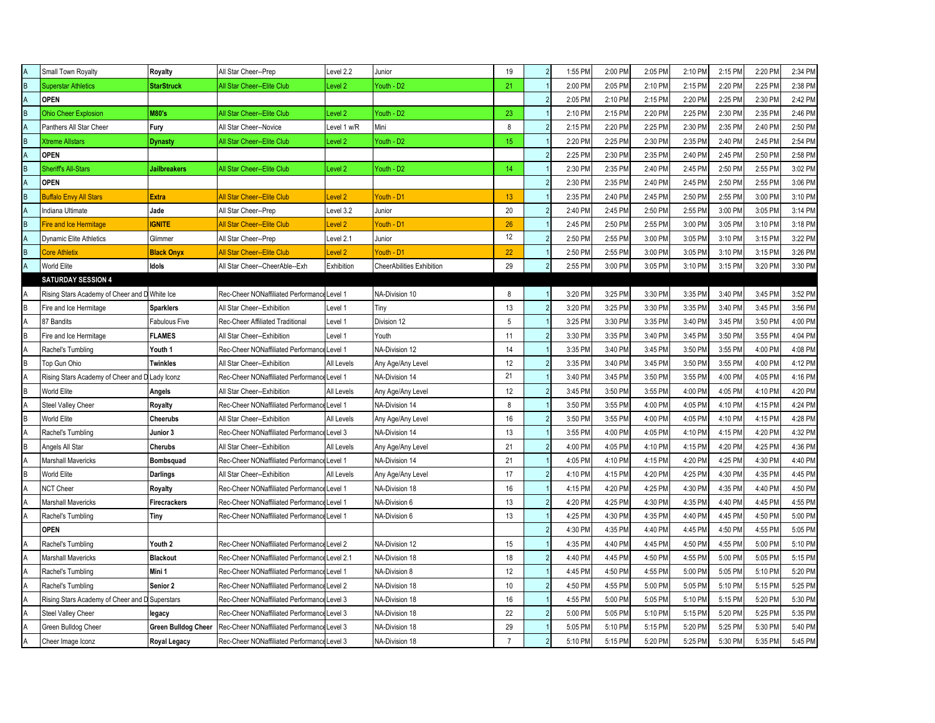|    | Small Town Royalty                             | Royalty                    | All Star Cheer--Prep                        | Level 2.2          | Junior                    | 19             |                | 1:55 PM | 2:00 PM | 2:05 PM | 2:10 PM | 2:15 PM | 2:20 PM | 2:34 PM |
|----|------------------------------------------------|----------------------------|---------------------------------------------|--------------------|---------------------------|----------------|----------------|---------|---------|---------|---------|---------|---------|---------|
| B  | <b>Superstar Athletics</b>                     | <b>StarStruck</b>          | All Star Cheer--Elite Club                  | Level 2            | Youth - D2                | 21             |                | 2:00 PM | 2:05 PM | 2:10 PM | 2:15 PM | 2:20 PM | 2:25 PM | 2:38 PM |
| A  | <b>OPEN</b>                                    |                            |                                             |                    |                           |                | $\overline{2}$ | 2:05 PM | 2:10 PM | 2:15 PM | 2:20 PM | 2:25 PM | 2:30 PM | 2:42 PM |
| R  | <b>Ohio Cheer Explosion</b>                    | <b>M80's</b>               | All Star Cheer--Elite Club                  | Level <sub>2</sub> | Youth - D2                | 23             |                | 2:10 PM | 2:15 PM | 2:20 PM | 2:25 PM | 2:30 PM | 2:35 PM | 2:46 PM |
|    | Panthers All Star Cheer                        | Fury                       | All Star Cheer--Novice                      | Level 1 w/R        | Mini                      | 8              |                | 2:15 PM | 2:20 PM | 2:25 PM | 2:30 PM | 2:35 PM | 2:40 PM | 2:50 PM |
| R  | <b>Xtreme Allstars</b>                         | Dynasty                    | All Star Cheer--Elite Club                  | Level 2            | Youth - D2                | 15             |                | 2:20 PM | 2:25 PM | 2:30 PM | 2:35 PM | 2:40 PM | 2:45 PM | 2:54 PM |
|    | <b>OPEN</b>                                    |                            |                                             |                    |                           |                |                | 2:25 PM | 2:30 PM | 2:35 PM | 2:40 PM | 2:45 PM | 2:50 PM | 2:58 PM |
| B  | <b>Sheriff's All-Stars</b>                     | <b>Jailbreakers</b>        | All Star Cheer--Elite Club                  | Level <sub>2</sub> | Youth - D2                | 14             |                | 2:30 PM | 2:35 PM | 2:40 PM | 2:45 PM | 2:50 PM | 2:55 PM | 3:02 PM |
| A  | <b>OPEN</b>                                    |                            |                                             |                    |                           |                |                | 2:30 PM | 2:35 PM | 2:40 PM | 2:45 PM | 2:50 PM | 2:55 PM | 3:06 PM |
| B  | <b>Buffalo Envy All Stars</b>                  | <b>Extra</b>               | <b>All Star Cheer--Elite Club</b>           | Level <sub>2</sub> | Youth - D1                | 13             |                | 2:35 PM | 2:40 PM | 2:45 PM | 2:50 PM | 2:55 PM | 3:00 PM | 3:10 PM |
|    | Indiana Ultimate                               | Jade                       | All Star Cheer--Prep                        | Level 3.2          | Junior                    | 20             |                | 2:40 PM | 2:45 PM | 2:50 PM | 2:55 PM | 3:00 PM | 3:05 PM | 3:14 PM |
| R  | Fire and Ice Hermitage                         | <b>GNITE</b>               | All Star Cheer--Elite Club                  | Level <sub>2</sub> | Youth - D1                | 26             |                | 2:45 PM | 2:50 PM | 2:55 PM | 3:00 PM | 3:05 PM | 3:10 PM | 3:18 PM |
|    | <b>Dynamic Elite Athletics</b>                 | Glimmer                    | All Star Cheer--Prep                        | Level 2.1          | Junior                    | 12             |                | 2:50 PM | 2:55 PM | 3:00 PM | 3:05 PM | 3:10 PM | 3:15 PM | 3:22 PM |
| R. | <b>Core Athletix</b>                           | <b>Black Onyx</b>          | <b>All Star Cheer--Elite Club</b>           | Level <sub>2</sub> | Youth - D1                | 22             |                | 2:50 PM | 2:55 PM | 3:00 PM | 3:05 PM | 3:10 PM | 3:15 PM | 3:26 PM |
|    | World Elite                                    | <b>Idols</b>               | All Star Cheer--CheerAble--Exh              | Exhibition         | CheerAbilities Exhibition | 29             |                | 2:55 PM | 3:00 PM | 3:05 PM | 3:10 PM | 3:15 PM | 3:20 PM | 3:30 PM |
|    | <b>SATURDAY SESSION 4</b>                      |                            |                                             |                    |                           |                |                |         |         |         |         |         |         |         |
| А  | Rising Stars Academy of Cheer and D White Ice  |                            | Rec-Cheer NONaffiliated Performance Level 1 |                    | NA-Division 10            | 8              |                | 3:20 PM | 3:25 PM | 3:30 PM | 3:35 PM | 3:40 PM | 3:45 PM | 3:52 PM |
| B  | Fire and Ice Hermitage                         | <b>Sparklers</b>           | All Star Cheer--Exhibition                  | Level 1            | Tiny                      | 13             |                | 3:20 PM | 3:25 PM | 3:30 PM | 3:35 PM | 3:40 PM | 3:45 PM | 3:56 PM |
| A  | 87 Bandits                                     | Fabulous Five              | Rec-Cheer Affiliated Traditional            | Level 1            | Division 12               | 5              |                | 3:25 PM | 3:30 PM | 3:35 PM | 3:40 PM | 3:45 PM | 3:50 PM | 4:00 PM |
| R  | Fire and Ice Hermitage                         | <b>FLAMES</b>              | All Star Cheer--Exhibition                  | Level 1            | Youth                     | 11             |                | 3:30 PM | 3:35 PM | 3:40 PM | 3:45 PM | 3:50 PM | 3:55 PM | 4:04 PM |
|    | Rachel's Tumbling                              | Youth 1                    | Rec-Cheer NONaffiliated Performance Level 1 |                    | NA-Division 12            | 14             |                | 3:35 PM | 3:40 PM | 3:45 PM | 3:50 PM | 3:55 PM | 4:00 PM | 4:08 PM |
| R  | Top Gun Ohio                                   | <b>Twinkles</b>            | All Star Cheer--Exhibition                  | All Levels         | Any Age/Any Level         | 12             |                | 3:35 PM | 3:40 PM | 3:45 PM | 3:50 PM | 3:55 PM | 4:00 PM | 4:12 PM |
|    | Rising Stars Academy of Cheer and D Lady Iconz |                            | Rec-Cheer NONaffiliated Performance Level 1 |                    | NA-Division 14            | 21             |                | 3:40 PM | 3:45 PM | 3:50 PM | 3:55 PM | 4:00 PM | 4:05 PM | 4:16 PM |
| B  | <b>World Elite</b>                             | Angels                     | All Star Cheer--Exhibition                  | All Levels         | Any Age/Any Level         | 12             |                | 3:45 PM | 3:50 PM | 3:55 PM | 4:00 PM | 4:05 PM | 4:10 PM | 4:20 PM |
|    | <b>Steel Valley Cheer</b>                      | Royalty                    | Rec-Cheer NONaffiliated Performance Level 1 |                    | NA-Division 14            | 8              |                | 3:50 PM | 3:55 PM | 4:00 PM | 4:05 PM | 4:10 PM | 4:15 PM | 4:24 PM |
| B  | <b>World Elite</b>                             | Cheerubs                   | All Star Cheer--Exhibition                  | All Levels         | Any Age/Any Level         | 16             | $\overline{2}$ | 3:50 PM | 3:55 PM | 4:00 PM | 4:05 PM | 4:10 PM | 4:15 PM | 4:28 PM |
| A  | Rachel's Tumbling                              | Junior 3                   | Rec-Cheer NONaffiliated Performanc          | Level 3            | NA-Division 14            | 13             |                | 3:55 PM | 4:00 PM | 4:05 PM | 4:10 PM | 4:15 PM | 4:20 PM | 4:32 PM |
| R  | Angels All Star                                | Cherubs                    | All Star Cheer--Exhibition                  | All Levels         | Any Age/Any Level         | 21             |                | 4:00 PM | 4:05 PM | 4:10 PM | 4:15 PM | 4:20 PM | 4:25 PM | 4:36 PM |
|    | Marshall Mavericks                             | Bombsquad                  | Rec-Cheer NONaffiliated Performance Level 1 |                    | NA-Division 14            | 21             |                | 4:05 PM | 4:10 PM | 4:15 PM | 4:20 PM | 4:25 PM | 4:30 PM | 4:40 PM |
| R  | World Elite                                    | Darlings                   | All Star Cheer--Exhibition                  | All Levels         | Any Age/Any Level         | 17             | $\mathcal{P}$  | 4:10 PM | 4:15 PM | 4:20 PM | 4:25 PM | 4:30 PM | 4:35 PM | 4:45 PM |
|    | NCT Cheer                                      | Royalty                    | Rec-Cheer NONaffiliated Performance Level 1 |                    | NA-Division 18            | 16             |                | 4:15 PM | 4:20 PM | 4:25 PM | 4:30 PM | 4:35 PM | 4:40 PM | 4:50 PM |
|    | <b>Marshall Mavericks</b>                      | Firecrackers               | Rec-Cheer NONaffiliated Performance Level 1 |                    | NA-Division 6             | 13             |                | 4:20 PM | 4:25 PM | 4:30 PM | 4:35 PM | 4:40 PM | 4:45 PM | 4:55 PM |
|    | Rachel's Tumbling                              | Tiny                       | Rec-Cheer NONaffiliated Performance Level 1 |                    | NA-Division 6             | 13             |                | 4:25 PM | 4:30 PM | 4:35 PM | 4:40 PM | 4:45 PM | 4:50 PM | 5:00 PM |
|    | <b>OPEN</b>                                    |                            |                                             |                    |                           |                |                | 4:30 PM | 4:35 PM | 4:40 PM | 4:45 PM | 4:50 PM | 4:55 PM | 5:05 PM |
|    | Rachel's Tumbling                              | Youth 2                    | Rec-Cheer NONaffiliated Performance Level 2 |                    | NA-Division 12            | 15             |                | 4:35 PM | 4:40 PM | 4:45 PM | 4:50 PM | 4:55 PM | 5:00 PM | 5:10 PM |
|    | <b>Marshall Mavericks</b>                      | <b>Blackout</b>            | Rec-Cheer NONaffiliated Performance         | Level 2.1          | NA-Division 18            | 18             |                | 4:40 PM | 4:45 PM | 4:50 PM | 4:55 PM | 5:00 PM | 5:05 PM | 5:15 PM |
| А  | Rachel's Tumbling                              | Mini 1                     | Rec-Cheer NONaffiliated Performance Level 1 |                    | NA-Division 8             | 12             |                | 4:45 PM | 4:50 PM | 4:55 PM | 5:00 PM | 5:05 PM | 5:10 PM | 5:20 PM |
|    | Rachel's Tumbling                              | Senior 2                   | Rec-Cheer NONaffiliated Performance Level 2 |                    | NA-Division 18            | 10             |                | 4:50 PM | 4:55 PM | 5:00 PM | 5:05 PM | 5:10 PM | 5:15 PM | 5:25 PM |
|    | Rising Stars Academy of Cheer and D Superstars |                            | Rec-Cheer NONaffiliated Performance Level 3 |                    | NA-Division 18            | 16             |                | 4:55 PM | 5:00 PM | 5:05 PM | 5:10 PM | 5:15 PM | 5:20 PM | 5:30 PM |
| A  | <b>Steel Valley Cheer</b>                      | legacy                     | Rec-Cheer NONaffiliated Performance Level 3 |                    | NA-Division 18            | 22             |                | 5:00 PM | 5:05 PM | 5:10 PM | 5:15 PM | 5:20 PM | 5:25 PM | 5:35 PM |
| А  | Green Bulldog Cheer                            | <b>Green Bulldog Cheer</b> | Rec-Cheer NONaffiliated Performance Level 3 |                    | NA-Division 18            | 29             |                | 5:05 PM | 5:10 PM | 5:15 PM | 5:20 PM | 5:25 PM | 5:30 PM | 5:40 PM |
| Α  | Cheer Image Iconz                              | Royal Legacy               | Rec-Cheer NONaffiliated Performance Level 3 |                    | NA-Division 18            | $\overline{7}$ | $\overline{2}$ | 5:10 PM | 5:15 PM | 5:20 PM | 5:25 PM | 5:30 PM | 5:35 PM | 5:45 PM |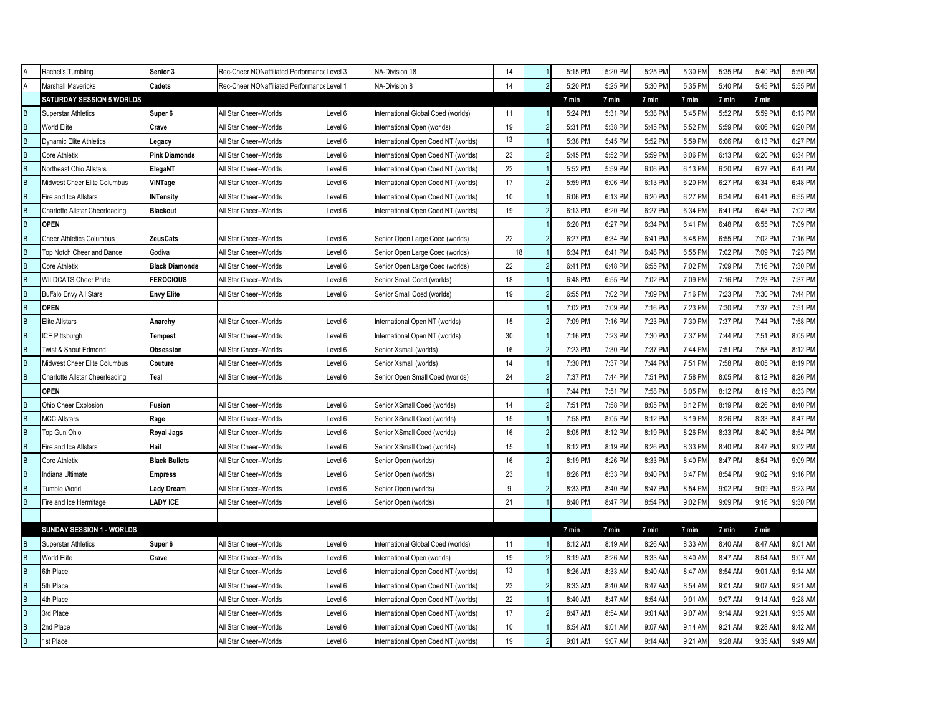| ΙA             | Rachel's Tumbling                     | Senior 3              | Rec-Cheer NONaffiliated Performance Level 3 |         | NA-Division 18                      | 14 |                | 5:15 PM | 5:20 PM | 5:25 PM | 5:30 PM | 5:35 PM | 5:40 PM | 5:50 PM |
|----------------|---------------------------------------|-----------------------|---------------------------------------------|---------|-------------------------------------|----|----------------|---------|---------|---------|---------|---------|---------|---------|
| A              | <b>Marshall Mavericks</b>             | Cadets                | Rec-Cheer NONaffiliated Performance Level 1 |         | NA-Division 8                       | 14 | $\mathfrak{p}$ | 5:20 PM | 5:25 PM | 5:30 PM | 5:35 PM | 5:40 PM | 5:45 PM | 5:55 PM |
|                | <b>SATURDAY SESSION 5 WORLDS</b>      |                       |                                             |         |                                     |    |                | 7 min   | 7 min   | 7 min   | 7 min   | 7 min   | 7 min   |         |
| B              | <b>Superstar Athletics</b>            | Super 6               | All Star Cheer--Worlds                      | Level 6 | International Global Coed (worlds)  | 11 |                | 5:24 PM | 5:31 PM | 5:38 PM | 5:45 PM | 5:52 PM | 5:59 PM | 6:13 PM |
| B              | <b>World Elite</b>                    | Crave                 | All Star Cheer--Worlds                      | Level 6 | International Open (worlds)         | 19 |                | 5:31 PM | 5:38 PM | 5:45 PM | 5:52 PM | 5:59 PM | 6:06 PM | 6:20 PM |
| B              | <b>Dynamic Elite Athletics</b>        | Legacy                | All Star Cheer--Worlds                      | Level 6 | International Open Coed NT (worlds) | 13 |                | 5:38 PM | 5:45 PM | 5:52 PM | 5:59 PM | 6:06 PM | 6:13 PM | 6:27 PM |
| B              | <b>Core Athletix</b>                  | <b>Pink Diamonds</b>  | All Star Cheer--Worlds                      | Level 6 | International Open Coed NT (worlds) | 23 |                | 5:45 PM | 5:52 PM | 5:59 PM | 6:06 PM | 6:13 PM | 6:20 PM | 6:34 PM |
| B              | Northeast Ohio Allstars               | ElegaNT               | All Star Cheer--Worlds                      | Level 6 | International Open Coed NT (worlds) | 22 |                | 5:52 PM | 5:59 PM | 6:06 PM | 6:13 PM | 6:20 PM | 6:27 PM | 6:41 PM |
| B              | Midwest Cheer Elite Columbus          | ViNTage               | All Star Cheer--Worlds                      | Level 6 | International Open Coed NT (worlds) | 17 |                | 5:59 PM | 6:06 PM | 6:13 PM | 6:20 PM | 6:27 PM | 6:34 PM | 6:48 PM |
| B              | Fire and Ice Allstars                 | <b>INTensity</b>      | All Star Cheer--Worlds                      | Level 6 | International Open Coed NT (worlds) | 10 |                | 6:06 PM | 6:13 PM | 6:20 PM | 6:27 PM | 6:34 PM | 6:41 PM | 6:55 PM |
| B              | Charlotte Allstar Cheerleading        | <b>Blackout</b>       | All Star Cheer--Worlds                      | Level 6 | International Open Coed NT (worlds) | 19 |                | 6:13 PM | 6:20 PM | 6:27 PM | 6:34 PM | 6:41 PM | 6:48 PM | 7:02 PM |
| B              | <b>OPEN</b>                           |                       |                                             |         |                                     |    |                | 6:20 PM | 6:27 PM | 6:34 PM | 6:41 PM | 6:48 PM | 6:55 PM | 7:09 PM |
| B              | <b>Cheer Athletics Columbus</b>       | <b>ZeusCats</b>       | All Star Cheer--Worlds                      | Level 6 | Senior Open Large Coed (worlds)     | 22 |                | 6:27 PM | 6:34 PM | 6:41 PM | 6:48 PM | 6:55 PM | 7:02 PM | 7:16 PM |
| B              | Top Notch Cheer and Dance             | Godiva                | All Star Cheer--Worlds                      | Level 6 | Senior Open Large Coed (worlds)     | 18 |                | 6:34 PM | 6:41 PM | 6:48 PM | 6:55 PM | 7:02 PM | 7:09 PM | 7:23 PM |
| B              | <b>Core Athletix</b>                  | <b>Black Diamonds</b> | All Star Cheer--Worlds                      | Level 6 | Senior Open Large Coed (worlds)     | 22 |                | 6:41 PM | 6:48 PM | 6:55 PM | 7:02 PM | 7:09 PM | 7:16 PM | 7:30 PM |
| B              | <b>WILDCATS Cheer Pride</b>           | <b>FEROCIOUS</b>      | All Star Cheer--Worlds                      | Level 6 | Senior Small Coed (worlds)          | 18 |                | 6:48 PM | 6:55 PM | 7:02 PM | 7:09 PM | 7:16 PM | 7:23 PM | 7:37 PM |
| B              | Buffalo Envy All Stars                | <b>Envy Elite</b>     | All Star Cheer--Worlds                      | Level 6 | Senior Small Coed (worlds)          | 19 | $\mathcal{P}$  | 6:55 PM | 7:02 PM | 7:09 PM | 7:16 PM | 7:23 PM | 7:30 PM | 7:44 PM |
| $\overline{B}$ | <b>OPEN</b>                           |                       |                                             |         |                                     |    |                | 7:02 PM | 7:09 PM | 7:16 PM | 7:23 PM | 7:30 PM | 7:37 PM | 7:51 PM |
| B              | <b>Elite Allstars</b>                 | Anarchy               | All Star Cheer--Worlds                      | Level 6 | International Open NT (worlds)      | 15 |                | 7:09 PM | 7:16 PM | 7:23 PM | 7:30 PM | 7:37 PM | 7:44 PM | 7:58 PM |
| B              | <b>ICE Pittsburgh</b>                 | Tempest               | All Star Cheer--Worlds                      | Level 6 | International Open NT (worlds)      | 30 |                | 7:16 PM | 7:23 PM | 7:30 PM | 7:37 PM | 7:44 PM | 7:51 PM | 8:05 PM |
| B              | Twist & Shout Edmond                  | Obsession             | All Star Cheer--Worlds                      | Level 6 | Senior Xsmall (worlds)              | 16 |                | 7:23 PM | 7:30 PM | 7:37 PM | 7:44 PM | 7:51 PM | 7:58 PM | 8:12 PM |
| B              | Midwest Cheer Elite Columbus          | Couture               | All Star Cheer--Worlds                      | Level 6 | Senior Xsmall (worlds)              | 14 |                | 7:30 PM | 7:37 PM | 7:44 PM | 7:51 PM | 7:58 PM | 8:05 PM | 8:19 PM |
| B              | <b>Charlotte Allstar Cheerleading</b> | Teal                  | All Star Cheer--Worlds                      | Level 6 | Senior Open Small Coed (worlds)     | 24 |                | 7:37 PM | 7:44 PM | 7:51 PM | 7:58 PM | 8:05 PM | 8:12 PM | 8:26 PM |
|                | <b>OPEN</b>                           |                       |                                             |         |                                     |    |                | 7:44 PM | 7:51 PM | 7:58 PM | 8:05 PM | 8:12 PM | 8:19 PM | 8:33 PM |
| B              | Ohio Cheer Explosion                  | <b>Fusion</b>         | All Star Cheer--Worlds                      | Level 6 | Senior XSmall Coed (worlds)         | 14 |                | 7:51 PM | 7:58 PM | 8:05 PM | 8:12 PM | 8:19 PM | 8:26 PM | 8:40 PM |
| B              | <b>MCC Allstars</b>                   | Rage                  | All Star Cheer--Worlds                      | Level 6 | Senior XSmall Coed (worlds)         | 15 |                | 7:58 PM | 8:05 PM | 8:12 PM | 8:19 PM | 8:26 PM | 8:33 PM | 8:47 PM |
| B              | Top Gun Ohio                          | Royal Jags            | All Star Cheer--Worlds                      | Level 6 | Senior XSmall Coed (worlds)         | 16 |                | 8:05 PM | 8:12 PM | 8:19 PM | 8:26 PM | 8:33 PM | 8:40 PM | 8:54 PM |
| B              | Fire and Ice Allstars                 | Hail                  | All Star Cheer--Worlds                      | Level 6 | Senior XSmall Coed (worlds)         | 15 |                | 8:12 PM | 8:19 PM | 8:26 PM | 8:33 PM | 8:40 PM | 8:47 PM | 9:02 PM |
| B              | <b>Core Athletix</b>                  | <b>Black Bullets</b>  | All Star Cheer--Worlds                      | Level 6 | Senior Open (worlds)                | 16 |                | 8:19 PM | 8:26 PM | 8:33 PM | 8:40 PM | 8:47 PM | 8:54 PM | 9:09 PM |
| B              | Indiana Ultimate                      | <b>Empress</b>        | All Star Cheer--Worlds                      | Level 6 | Senior Open (worlds)                | 23 |                | 8:26 PM | 8:33 PM | 8:40 PM | 8:47 PM | 8:54 PM | 9:02 PM | 9:16 PM |
| B              | Tumble World                          | <b>Lady Dream</b>     | All Star Cheer--Worlds                      | Level 6 | Senior Open (worlds)                | 9  |                | 8:33 PM | 8:40 PM | 8:47 PM | 8:54 PM | 9:02 PM | 9:09 PM | 9:23 PM |
| B              | Fire and Ice Hermitage                | <b>LADY ICE</b>       | All Star Cheer--Worlds                      | Level 6 | Senior Open (worlds)                | 21 |                | 8:40 PM | 8:47 PM | 8:54 PM | 9:02 PM | 9:09 PM | 9:16 PM | 9:30 PM |
|                |                                       |                       |                                             |         |                                     |    |                |         |         |         |         |         |         |         |
|                | <b>SUNDAY SESSION 1 - WORLDS</b>      |                       |                                             |         |                                     |    |                | 7 min   | 7 min   | 7 min   | 7 min   | 7 min   | 7 min   |         |
| B              | <b>Superstar Athletics</b>            | Super 6               | All Star Cheer--Worlds                      | Level 6 | nternational Global Coed (worlds)   | 11 |                | 8:12 AM | 8:19 AM | 8:26 AM | 8:33 AM | 8:40 AM | 8:47 AM | 9:01 AM |
| $\,$ B         | <b>World Elite</b>                    | Crave                 | All Star Cheer--Worlds                      | Level 6 | International Open (worlds)         | 19 |                | 8:19 AM | 8:26 AM | 8:33 AM | 8:40 AM | 8:47 AM | 8:54 AM | 9:07 AM |
| B              | 6th Place                             |                       | All Star Cheer--Worlds                      | Level 6 | International Open Coed NT (worlds) | 13 |                | 8:26 AM | 8:33 AM | 8:40 AM | 8:47 AM | 8:54 AM | 9:01 AM | 9:14 AM |
| B              | 5th Place                             |                       | All Star Cheer--Worlds                      | Level 6 | International Open Coed NT (worlds) | 23 |                | 8:33 AM | 8:40 AM | 8:47 AM | 8:54 AM | 9:01 AM | 9:07 AM | 9:21 AM |
| B              | 4th Place                             |                       | All Star Cheer--Worlds                      | Level 6 | International Open Coed NT (worlds) | 22 |                | 8:40 AM | 8:47 AM | 8:54 AM | 9:01 AM | 9:07 AM | 9:14 AM | 9:28 AM |
| B              | 3rd Place                             |                       | All Star Cheer--Worlds                      | Level 6 | International Open Coed NT (worlds) | 17 | $\overline{2}$ | 8:47 AM | 8:54 AM | 9:01 AM | 9:07 AM | 9:14 AM | 9:21 AM | 9:35 AM |
| B              | 2nd Place                             |                       | All Star Cheer--Worlds                      | Level 6 | International Open Coed NT (worlds) | 10 |                | 8:54 AM | 9:01 AM | 9:07 AM | 9:14 AM | 9:21 AM | 9:28 AM | 9:42 AM |
| $\, {\sf B}$   | 1st Place                             |                       | All Star Cheer--Worlds                      | Level 6 | International Open Coed NT (worlds) | 19 | $\mathcal{P}$  | 9:01 AM | 9:07 AM | 9:14 AM | 9:21 AM | 9:28 AM | 9:35 AM | 9:49 AM |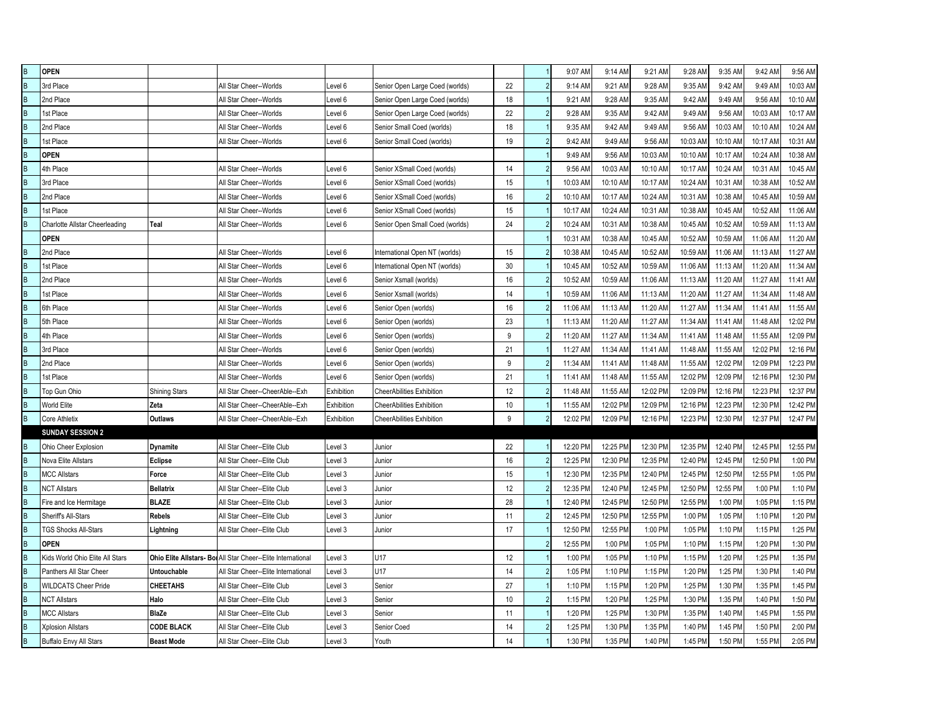| $\sf{B}$                | <b>OPEN</b>                     |                      |                                                              |            |                                  |    |                | 9:07 AM  | 9:14 AM  | 9:21 AM  | 9:28 AM  | 9:35 AM  | 9:42 AM  | 9:56 AM  |
|-------------------------|---------------------------------|----------------------|--------------------------------------------------------------|------------|----------------------------------|----|----------------|----------|----------|----------|----------|----------|----------|----------|
| $\overline{B}$          | 3rd Place                       |                      | All Star Cheer--Worlds                                       | Level 6    | Senior Open Large Coed (worlds)  | 22 |                | 9:14 AM  | 9:21 AM  | 9:28 AM  | 9:35 AM  | 9:42 AM  | 9:49 AM  | 10:03 AM |
| $\overline{\mathsf{B}}$ | 2nd Place                       |                      | All Star Cheer--Worlds                                       | Level 6    | Senior Open Large Coed (worlds)  | 18 |                | 9:21 AM  | 9:28 AM  | 9:35 AM  | 9:42 AM  | 9:49 AM  | 9:56 AM  | 10:10 AM |
| $\overline{\mathsf{B}}$ | 1st Place                       |                      | All Star Cheer--Worlds                                       | Level 6    | Senior Open Large Coed (worlds)  | 22 | $\overline{2}$ | 9:28 AM  | 9:35 AM  | 9:42 AM  | 9:49 AM  | 9:56 AM  | 10:03 AM | 10:17 AM |
| $\sf{B}$                | 2nd Place                       |                      | All Star Cheer--Worlds                                       | Level 6    | Senior Small Coed (worlds)       | 18 |                | 9:35 AM  | 9:42 AM  | 9:49 AM  | 9:56 AM  | 10:03 AM | 10:10 AM | 10:24 AM |
| $\sf{B}$                | 1st Place                       |                      | All Star Cheer--Worlds                                       | Level 6    | Senior Small Coed (worlds)       | 19 | $\overline{2}$ | 9:42 AM  | 9:49 AM  | 9:56 AM  | 10:03 AM | 10:10 AM | 10:17 AM | 10:31 AM |
| $\sf B$                 | <b>OPEN</b>                     |                      |                                                              |            |                                  |    |                | 9:49 AM  | 9:56 AM  | 10:03 AM | 10:10 AM | 10:17 AM | 10:24 AM | 10:38 AM |
| $\overline{B}$          | 4th Place                       |                      | All Star Cheer--Worlds                                       | Level 6    | Senior XSmall Coed (worlds)      | 14 | $\overline{2}$ | 9:56 AM  | 10:03 AM | 10:10 AM | 10:17 AN | 10:24 AM | 10:31 AM | 10:45 AM |
| $\overline{B}$          | 3rd Place                       |                      | All Star Cheer--Worlds                                       | Level 6    | Senior XSmall Coed (worlds)      | 15 |                | 10:03 AM | 10:10 AM | 10:17 AM | 10:24 AN | 10:31 AM | 10:38 AM | 10:52 AM |
| $\sf B$                 | 2nd Place                       |                      | All Star Cheer--Worlds                                       | Level 6    | Senior XSmall Coed (worlds)      | 16 |                | 10:10 AM | 10:17 AM | 10:24 AM | 10:31 AM | 10:38 AM | 10:45 AM | 10:59 AM |
| $\sf B$                 | 1st Place                       |                      | All Star Cheer--Worlds                                       | Level 6    | Senior XSmall Coed (worlds)      | 15 |                | 10:17 AM | 10:24 AM | 10:31 AM | 10:38 AM | 10:45 AM | 10:52 AM | 11:06 AM |
| B                       | Charlotte Allstar Cheerleading  | Teal                 | All Star Cheer--Worlds                                       | Level 6    | Senior Open Small Coed (worlds)  | 24 | $\mathfrak{p}$ | 10:24 AM | 10:31 AM | 10:38 AM | 10:45 AM | 10:52 AM | 10:59 AM | 11:13 AM |
|                         | <b>OPEN</b>                     |                      |                                                              |            |                                  |    |                | 10:31 AM | 10:38 AM | 10:45 AM | 10:52 AM | 10:59 AM | 11:06 AM | 11:20 AM |
| $\sf B$                 | 2nd Place                       |                      | All Star Cheer--Worlds                                       | Level 6    | International Open NT (worlds)   | 15 |                | 10:38 AM | 10:45 AM | 10:52 AM | 10:59 AM | 11:06 AM | 11:13 AM | 11:27 AM |
| $\sf B$                 | 1st Place                       |                      | All Star Cheer--Worlds                                       | Level 6    | International Open NT (worlds)   | 30 |                | 10:45 AM | 10:52 AM | 10:59 AM | 11:06 AM | 11:13 AM | 11:20 AM | 11:34 AM |
| $\sf B$                 | 2nd Place                       |                      | All Star Cheer--Worlds                                       | Level 6    | Senior Xsmall (worlds)           | 16 |                | 10:52 AM | 10:59 AM | 11:06 AM | 11:13 AM | 11:20 AM | 11:27 AM | 11:41 AM |
| $\overline{B}$          | 1st Place                       |                      | All Star Cheer--Worlds                                       | Level 6    | Senior Xsmall (worlds)           | 14 |                | 10:59 AM | 11:06 AM | 11:13 AM | 11:20 AM | 11:27 AM | 11:34 AM | 11:48 AM |
| $\sf{B}$                | 6th Place                       |                      | All Star Cheer--Worlds                                       | Level 6    | Senior Open (worlds)             | 16 |                | 11:06 AM | 11:13 AM | 11:20 AM | 11:27 AM | 11:34 AM | 11:41 AM | 11:55 AM |
| $\sf B$                 | 5th Place                       |                      | All Star Cheer--Worlds                                       | Level 6    | Senior Open (worlds)             | 23 |                | 11:13 AM | 11:20 AM | 11:27 AM | 11:34 AM | 11:41 AM | 11:48 AM | 12:02 PM |
| $\sf B$                 | 4th Place                       |                      | All Star Cheer--Worlds                                       | Level 6    | Senior Open (worlds)             | 9  |                | 11:20 AM | 11:27 AM | 11:34 AM | 11:41 AM | 11:48 AM | 11:55 AM | 12:09 PM |
| $\overline{B}$          | 3rd Place                       |                      | All Star Cheer--Worlds                                       | Level 6    | Senior Open (worlds)             | 21 |                | 11:27 AM | 11:34 AM | 11:41 AM | 11:48 AM | 11:55 AM | 12:02 PM | 12:16 PM |
| $\sf{B}$                | 2nd Place                       |                      | All Star Cheer--Worlds                                       | Level 6    | Senior Open (worlds)             | 9  |                | 11:34 AM | 11:41 AM | 11:48 AM | 11:55 AM | 12:02 PM | 12:09 PM | 12:23 PM |
| $\sf B$                 | 1st Place                       |                      | All Star Cheer--Worlds                                       | Level 6    | Senior Open (worlds)             | 21 |                | 11:41 AM | 11:48 AM | 11:55 AM | 12:02 PM | 12:09 PM | 12:16 PM | 12:30 PM |
| $\sf B$                 | Top Gun Ohio                    | <b>Shining Stars</b> | All Star Cheer--CheerAble--Exh                               | Exhibition | CheerAbilities Exhibition        | 12 |                | 11:48 AM | 11:55 AM | 12:02 PM | 12:09 PM | 12:16 PM | 12:23 PM | 12:37 PM |
| B                       | <b>World Elite</b>              | Zeta                 | All Star Cheer--CheerAble--Exh                               | Exhibition | <b>CheerAbilities Exhibition</b> | 10 |                | 11:55 AM | 12:02 PM | 12:09 PM | 12:16 PM | 12:23 PM | 12:30 PM | 12:42 PM |
| $\sf B$                 | Core Athletix                   | Outlaws              | All Star Cheer--CheerAble--Exh                               | Exhibition | CheerAbilities Exhibition        | 9  | $\overline{2}$ | 12:02 PM | 12:09 PM | 12:16 PM | 12:23 PM | 12:30 PM | 12:37 PM | 12:47 PM |
|                         | <b>SUNDAY SESSION 2</b>         |                      |                                                              |            |                                  |    |                |          |          |          |          |          |          |          |
| B                       | <b>Ohio Cheer Explosion</b>     | Dynamite             | All Star Cheer--Elite Club                                   | Level 3    | Junior                           | 22 |                | 12:20 PM | 12:25 PM | 12:30 PM | 12:35 PM | 12:40 PM | 12:45 PM | 12:55 PM |
| $\sf B$                 | Nova Elite Allstars             | <b>Eclipse</b>       | All Star Cheer--Elite Club                                   | Level 3    | Junior                           | 16 |                | 12:25 PM | 12:30 PM | 12:35 PM | 12:40 PM | 12:45 PM | 12:50 PM | 1:00 PM  |
| B                       | <b>MCC Allstars</b>             | Force                | All Star Cheer--Elite Club                                   | Level 3    | Junior                           | 15 |                | 12:30 PM | 12:35 PM | 12:40 PM | 12:45 PM | 12:50 PM | 12:55 PM | 1:05 PM  |
| $\sf B$                 | <b>NCT Allstars</b>             | <b>Bellatrix</b>     | All Star Cheer--Elite Club                                   | Level 3    | Junior                           | 12 |                | 12:35 PM | 12:40 PM | 12:45 PM | 12:50 PM | 12:55 PM | 1:00 PM  | 1:10 PM  |
| $\sf{B}$                | Fire and Ice Hermitage          | <b>BLAZE</b>         | All Star Cheer--Elite Club                                   | Level 3    | Junior                           | 28 |                | 12:40 PM | 12:45 PM | 12:50 PM | 12:55 PM | 1:00 PM  | 1:05 PM  | 1:15 PM  |
| $\sf{B}$                | Sheriff's All-Stars             | <b>Rebels</b>        | All Star Cheer--Elite Club                                   | Level 3    | Junior                           | 11 |                | 12:45 PM | 12:50 PM | 12:55 PM | 1:00 PM  | 1:05 PM  | 1:10 PM  | 1:20 PM  |
| $\overline{B}$          | <b>TGS Shocks All-Stars</b>     | Lightning            | All Star Cheer--Elite Club                                   | Level 3    | Junior                           | 17 |                | 12:50 PM | 12:55 PM | 1:00 PM  | 1:05 PM  | 1:10 PM  | 1:15 PM  | 1:25 PM  |
| $\overline{B}$          | <b>OPEN</b>                     |                      |                                                              |            |                                  |    | $\overline{2}$ | 12:55 PM | 1:00 PM  | 1:05 PM  | 1:10 PM  | 1:15 PM  | 1:20 PM  | 1:30 PM  |
| $\sf{B}$                | Kids World Ohio Elite All Stars |                      | Ohio Elite Allstars- Bol All Star Cheer--Elite International | Level 3    | U17                              | 12 |                | 1:00 PM  | 1:05 PM  | 1:10 PM  | 1:15 PM  | 1:20 PM  | 1:25 PM  | 1:35 PM  |
| $\sf B$                 | Panthers All Star Cheer         | Untouchable          | All Star Cheer--Elite International                          | Level 3    | U17                              | 14 | $\overline{2}$ | 1:05 PM  | 1:10 PM  | 1:15 PM  | 1:20 PM  | 1:25 PM  | 1:30 PM  | 1:40 PM  |
| $\sf B$                 | <b>WILDCATS Cheer Pride</b>     | <b>CHEETAHS</b>      | All Star Cheer--Elite Club                                   | Level 3    | Senior                           | 27 |                | 1:10 PM  | 1:15 PM  | 1:20 PM  | 1:25 PM  | 1:30 PM  | 1:35 PM  | 1:45 PM  |
| B                       | <b>NCT Allstars</b>             | Halo                 | All Star Cheer--Elite Club                                   | Level 3    | Senior                           | 10 | $\overline{2}$ | 1:15 PM  | 1:20 PM  | 1:25 PM  | 1:30 PM  | 1:35 PM  | 1:40 PM  | 1:50 PM  |
| $\sf{B}$                | <b>MCC Allstars</b>             | <b>BlaZe</b>         | All Star Cheer--Elite Club                                   | Level 3    | Senior                           | 11 |                | 1:20 PM  | 1:25 PM  | 1:30 PM  | 1:35 PM  | 1:40 PM  | 1:45 PM  | 1:55 PM  |
| $\sf{B}$                | <b>Xplosion Allstars</b>        | <b>CODE BLACK</b>    | All Star Cheer--Elite Club                                   | Level 3    | Senior Coed                      | 14 | $\overline{2}$ | 1:25 PM  | 1:30 PM  | 1:35 PM  | 1:40 PM  | 1:45 PM  | 1:50 PM  | 2:00 PM  |
| $\overline{\mathsf{B}}$ | <b>Buffalo Envy All Stars</b>   | <b>Beast Mode</b>    | All Star Cheer--Elite Club                                   | Level 3    | Youth                            | 14 |                | 1:30 PM  | 1:35 PM  | 1:40 PM  | 1:45 PM  | 1:50 PM  | 1:55 PM  | 2:05 PM  |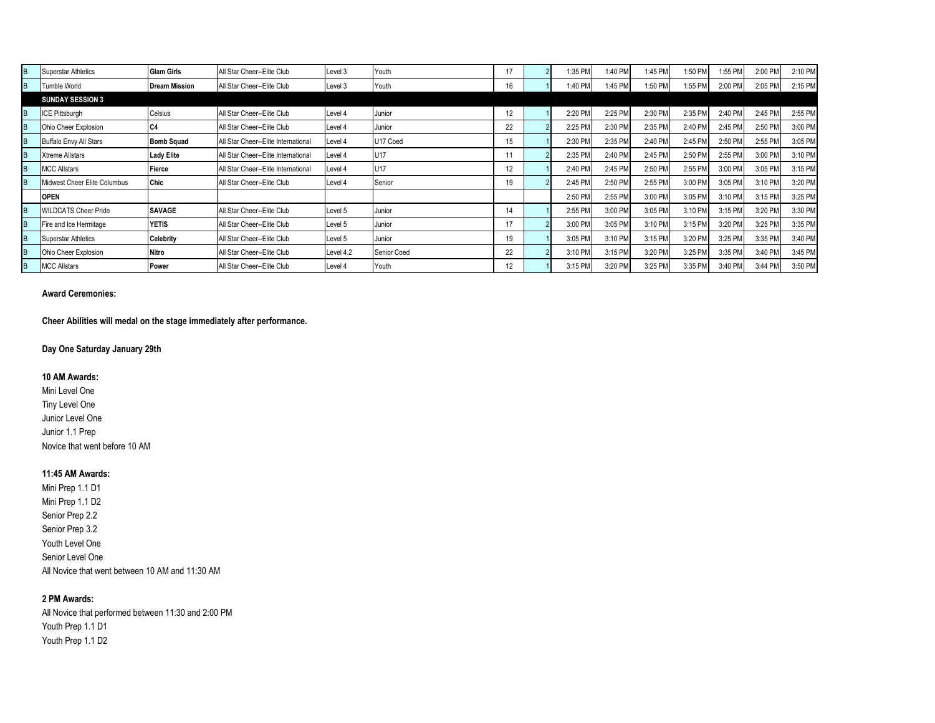|   | <b>Superstar Athletics</b>    | <b>Glam Girls</b>    | All Star Cheer--Elite Club          | Level 3   | Youth       |    | :35 PM  | 1:40 PM | 1:45 PM | 1:50 PN | :55 PM  | 2:00 PM | 2:10 PM |
|---|-------------------------------|----------------------|-------------------------------------|-----------|-------------|----|---------|---------|---------|---------|---------|---------|---------|
| B | Tumble World                  | <b>Dream Mission</b> | All Star Cheer--Elite Club          | Level 3   | Youth       | 16 | 1:40 PM | 1:45 PM | 1:50 PM | 1:55 PM | 2:00 PM | 2:05 PM | 2:15 PM |
|   | <b>SUNDAY SESSION 3</b>       |                      |                                     |           |             |    |         |         |         |         |         |         |         |
|   | ICE Pittsburgh                | Celsius              | All Star Cheer--Elite Club          | Level 4   | Junior      | 12 | 2:20 PM | 2:25 PM | 2:30 PM | 2:35 PM | 2:40 PM | 2:45 PM | 2:55 PM |
| B | Ohio Cheer Explosion          | C <sub>4</sub>       | All Star Cheer--Elite Club          | Level 4   | Junior      | 22 | 2:25 PM | 2:30 PM | 2:35 PM | 2:40 PM | 2:45 PM | 2:50 PM | 3:00 PM |
|   | <b>Buffalo Envy All Stars</b> | <b>Bomb Squad</b>    | All Star Cheer--Elite International | Level 4   | U17 Coed    | 15 | 2:30 PM | 2:35 PM | 2:40 PM | 2:45 PM | 2:50 PM | 2:55 PM | 3:05 PM |
|   | <b>Xtreme Allstars</b>        | <b>Lady Elite</b>    | All Star Cheer--Elite International | Level 4   | U17         |    | 2:35 PM | 2:40 PM | 2:45 PM | 2:50 PM | 2:55 PM | 3:00 PM | 3:10 PM |
|   | <b>MCC Allstars</b>           | Fierce               | All Star Cheer--Elite International | Level 4   | U17         | 12 | 2:40 PM | 2:45 PM | 2:50 PM | 2:55 PM | 3:00 PM | 3:05 PM | 3:15 PM |
|   | Midwest Cheer Elite Columbus  | Chic                 | All Star Cheer--Elite Club          | Level 4   | Senior      | 19 | 2:45 PM | 2:50 PM | 2:55 PM | 3:00 PM | 3:05 PM | 3:10 PM | 3:20 PM |
|   | <b>OPEN</b>                   |                      |                                     |           |             |    | 2:50 PM | 2:55 PM | 3:00 PM | 3:05 PM | 3:10 PM | 3:15 PM | 3:25 PM |
|   | <b>WILDCATS Cheer Pride</b>   | <b>SAVAGE</b>        | All Star Cheer--Elite Club          | Level 5   | Junior      | 14 | 2:55 PM | 3:00 PM | 3:05 PM | 3:10 PM | 3:15 PM | 3:20 PM | 3:30 PM |
| B | Fire and Ice Hermitage        | <b>YETIS</b>         | All Star Cheer--Elite Club          | Level 5   | Junior      | 17 | 3:00 PM | 3:05 PM | 3:10 PM | 3:15 PM | 3:20 PM | 3:25 PM | 3:35 PM |
|   | <b>Superstar Athletics</b>    | <b>Celebrity</b>     | All Star Cheer--Elite Club          | Level 5   | Junior      | 19 | 3:05 PM | 3:10 PM | 3:15 PM | 3:20 PM | 3:25 PM | 3:35 PM | 3:40 PM |
|   | Ohio Cheer Explosion          | <b>Nitro</b>         | All Star Cheer--Elite Club          | Level 4.2 | Senior Coed | 22 | 3:10 PM | 3:15 PM | 3:20 PM | 3:25 PM | 3:35 PM | 3:40 PM | 3:45 PM |
|   | <b>MCC Allstars</b>           | Power                | All Star Cheer--Elite Club          | Level 4   | Youth       | 12 | 3:15 PM | 3:20 PM | 3:25 PM | 3:35 PM | 3:40 PM | 3:44 PM | 3:50 PM |

#### **Award Ceremonies:**

**Cheer Abilities will medal on the stage immediately after performance.**

# **Day One Saturday January 29th**

## **10 AM Awards:**

Mini Level One Tiny Level One Junior Level One Junior 1.1 Prep Novice that went before 10 AM

#### **11:45 AM Awards:**

Mini Prep 1.1 D1 Mini Prep 1.1 D2 Senior Prep 2.2 Senior Prep 3.2 Youth Level One Senior Level One All Novice that went between 10 AM and 11:30 AM

## **2 PM Awards:**

All Novice that performed between 11:30 and 2:00 PM Youth Prep 1.1 D1 Youth Prep 1.1 D2